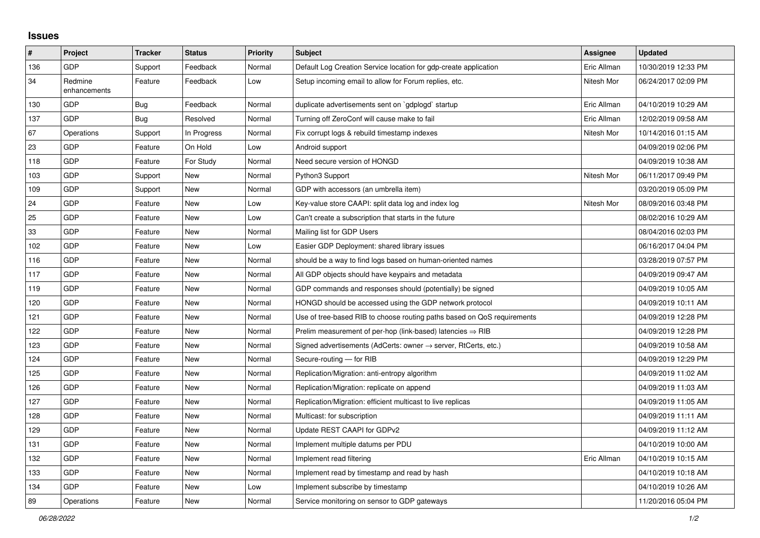## **Issues**

| #   | Project                 | <b>Tracker</b> | <b>Status</b> | <b>Priority</b> | <b>Subject</b>                                                          | Assignee    | <b>Updated</b>      |
|-----|-------------------------|----------------|---------------|-----------------|-------------------------------------------------------------------------|-------------|---------------------|
| 136 | GDP                     | Support        | Feedback      | Normal          | Default Log Creation Service location for gdp-create application        | Eric Allman | 10/30/2019 12:33 PM |
| 34  | Redmine<br>enhancements | Feature        | Feedback      | Low             | Setup incoming email to allow for Forum replies, etc.                   | Nitesh Mor  | 06/24/2017 02:09 PM |
| 130 | GDP                     | <b>Bug</b>     | Feedback      | Normal          | duplicate advertisements sent on `gdplogd` startup                      | Eric Allman | 04/10/2019 10:29 AM |
| 137 | GDP                     | Bug            | Resolved      | Normal          | Turning off ZeroConf will cause make to fail                            | Eric Allman | 12/02/2019 09:58 AM |
| 67  | Operations              | Support        | In Progress   | Normal          | Fix corrupt logs & rebuild timestamp indexes                            | Nitesh Mor  | 10/14/2016 01:15 AM |
| 23  | <b>GDP</b>              | Feature        | On Hold       | Low             | Android support                                                         |             | 04/09/2019 02:06 PM |
| 118 | GDP                     | Feature        | For Study     | Normal          | Need secure version of HONGD                                            |             | 04/09/2019 10:38 AM |
| 103 | GDP                     | Support        | <b>New</b>    | Normal          | Python3 Support                                                         | Nitesh Mor  | 06/11/2017 09:49 PM |
| 109 | GDP                     | Support        | New           | Normal          | GDP with accessors (an umbrella item)                                   |             | 03/20/2019 05:09 PM |
| 24  | GDP                     | Feature        | <b>New</b>    | Low             | Key-value store CAAPI: split data log and index log                     | Nitesh Mor  | 08/09/2016 03:48 PM |
| 25  | GDP                     | Feature        | <b>New</b>    | Low             | Can't create a subscription that starts in the future                   |             | 08/02/2016 10:29 AM |
| 33  | GDP                     | Feature        | <b>New</b>    | Normal          | Mailing list for GDP Users                                              |             | 08/04/2016 02:03 PM |
| 102 | GDP                     | Feature        | <b>New</b>    | Low             | Easier GDP Deployment: shared library issues                            |             | 06/16/2017 04:04 PM |
| 116 | GDP                     | Feature        | <b>New</b>    | Normal          | should be a way to find logs based on human-oriented names              |             | 03/28/2019 07:57 PM |
| 117 | GDP                     | Feature        | <b>New</b>    | Normal          | All GDP objects should have keypairs and metadata                       |             | 04/09/2019 09:47 AM |
| 119 | GDP                     | Feature        | <b>New</b>    | Normal          | GDP commands and responses should (potentially) be signed               |             | 04/09/2019 10:05 AM |
| 120 | GDP                     | Feature        | <b>New</b>    | Normal          | HONGD should be accessed using the GDP network protocol                 |             | 04/09/2019 10:11 AM |
| 121 | GDP                     | Feature        | <b>New</b>    | Normal          | Use of tree-based RIB to choose routing paths based on QoS requirements |             | 04/09/2019 12:28 PM |
| 122 | GDP                     | Feature        | <b>New</b>    | Normal          | Prelim measurement of per-hop (link-based) latencies $\Rightarrow$ RIB  |             | 04/09/2019 12:28 PM |
| 123 | GDP                     | Feature        | <b>New</b>    | Normal          | Signed advertisements (AdCerts: owner → server, RtCerts, etc.)          |             | 04/09/2019 10:58 AM |
| 124 | GDP                     | Feature        | <b>New</b>    | Normal          | Secure-routing - for RIB                                                |             | 04/09/2019 12:29 PM |
| 125 | GDP                     | Feature        | New           | Normal          | Replication/Migration: anti-entropy algorithm                           |             | 04/09/2019 11:02 AM |
| 126 | GDP                     | Feature        | <b>New</b>    | Normal          | Replication/Migration: replicate on append                              |             | 04/09/2019 11:03 AM |
| 127 | GDP                     | Feature        | New           | Normal          | Replication/Migration: efficient multicast to live replicas             |             | 04/09/2019 11:05 AM |
| 128 | GDP                     | Feature        | <b>New</b>    | Normal          | Multicast: for subscription                                             |             | 04/09/2019 11:11 AM |
| 129 | GDP                     | Feature        | New           | Normal          | Update REST CAAPI for GDPv2                                             |             | 04/09/2019 11:12 AM |
| 131 | GDP                     | Feature        | <b>New</b>    | Normal          | Implement multiple datums per PDU                                       |             | 04/10/2019 10:00 AM |
| 132 | GDP                     | Feature        | <b>New</b>    | Normal          | Implement read filtering                                                | Eric Allman | 04/10/2019 10:15 AM |
| 133 | GDP                     | Feature        | New           | Normal          | Implement read by timestamp and read by hash                            |             | 04/10/2019 10:18 AM |
| 134 | GDP                     | Feature        | <b>New</b>    | Low             | Implement subscribe by timestamp                                        |             | 04/10/2019 10:26 AM |
| 89  | Operations              | Feature        | New           | Normal          | Service monitoring on sensor to GDP gateways                            |             | 11/20/2016 05:04 PM |